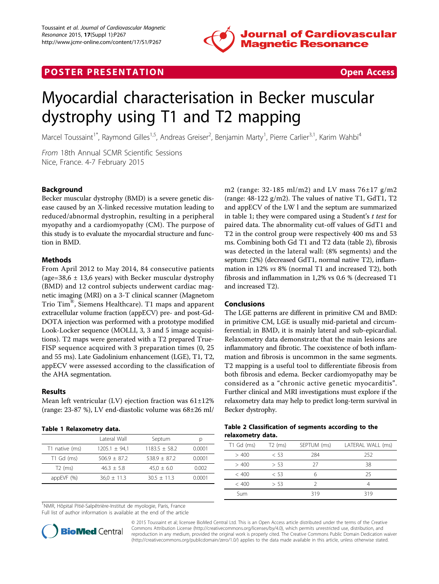

# **POSTER PRESENTATION CONSUMING THE SECOND CONSUMING THE SECOND CONSUMING THE SECOND CONSUMING THE SECOND CONSUMING THE SECOND CONSUMING THE SECOND CONSUMING THE SECOND CONSUMING THE SECOND CONSUMING THE SECOND CONSUMING**



# Myocardial characterisation in Becker muscular dystrophy using T1 and T2 mapping

Marcel Toussaint<sup>1\*</sup>, Raymond Gilles<sup>1,5</sup>, Andreas Greiser<sup>2</sup>, Benjamin Marty<sup>1</sup>, Pierre Carlier<sup>3,1</sup>, Karim Wahbi<sup>4</sup>

From 18th Annual SCMR Scientific Sessions Nice, France. 4-7 February 2015

## Background

Becker muscular dystrophy (BMD) is a severe genetic disease caused by an X-linked recessive mutation leading to reduced/abnormal dystrophin, resulting in a peripheral myopathy and a cardiomyopathy (CM). The purpose of this study is to evaluate the myocardial structure and function in BMD.

### **Methods**

From April 2012 to May 2014, 84 consecutive patients (age=38,6  $\pm$  13,6 years) with Becker muscular dystrophy (BMD) and 12 control subjects underwent cardiac magnetic imaging (MRI) on a 3-T clinical scanner (Magnetom Trio Tim®, Siemens Healthcare). T1 maps and apparent extracellular volume fraction (appECV) pre- and post-Gd-DOTA injection was performed with a prototype modified Look-Locker sequence (MOLLI, 3, 3 and 5 image acquisitions). T2 maps were generated with a T2 prepared True-FISP sequence acquired with 3 preparation times (0, 25 and 55 ms). Late Gadolinium enhancement (LGE), T1, T2, appECV were assessed according to the classification of the AHA segmentation.

### Results

Mean left ventricular (LV) ejection fraction was 61±12% (range: 23-87 %), LV end-diastolic volume was 68±26 ml/

### Table 1 Relaxometry data.

|                | Lateral Wall      | Septum          | р      |
|----------------|-------------------|-----------------|--------|
| T1 native (ms) | $1205.1 \pm 94.1$ | $1183.5 + 58.2$ | 0.0001 |
| $T1$ Gd (ms)   | $506.9 + 87.2$    | $538.9 + 87.2$  | 0.0001 |
| $T2$ (ms)      | $46.3 + 5.8$      | $45.0 \pm 6.0$  | 0.002  |
| appEVF $(%)$   | $36.0 \pm 11.3$   | $30.5 + 11.3$   | 0.0001 |
|                |                   |                 |        |

<sup>1</sup>NMR, Hôpital Pitié-Salpêtrière-Institut de myologie, Paris, France

Full list of author information is available at the end of the article



© 2015 Toussaint et al; licensee BioMed Central Ltd. This is an Open Access article distributed under the terms of the Creative Commons Attribution License [\(http://creativecommons.org/licenses/by/4.0](http://creativecommons.org/licenses/by/4.0)), which permits unrestricted use, distribution, and reproduction in any medium, provided the original work is properly cited. The Creative Commons Public Domain Dedication waiver [\(http://creativecommons.org/publicdomain/zero/1.0/](http://creativecommons.org/publicdomain/zero/1.0/)) applies to the data made available in this article, unless otherwise stated.

m2 (range: 32-185 ml/m2) and LV mass 76±17 g/m2 (range:  $48-122$  g/m2). The values of native T1, GdT1, T2 and appECV of the LW l and the septum are summarized in table [1;](#page--1-0) they were compared using a Student's  $t$  test for paired data. The abnormality cut-off values of GdT1 and T2 in the control group were respectively 400 ms and 53 ms. Combining both Gd T1 and T2 data (table [2\)](#page--1-0), fibrosis was detected in the lateral wall: (8% segments) and the septum: (2%) (decreased GdT1, normal native T2), inflammation in 12% vs 8% (normal T1 and increased T2), both fibrosis and inflammation in 1,2% vs 0.6 % (decreased T1 and increased T2).

### Conclusions

The LGE patterns are different in primitive CM and BMD: in primitive CM, LGE is usually mid-parietal and circumferential; in BMD, it is mainly lateral and sub-epicardial. Relaxometry data demonstrate that the main lesions are inflammatory and fibrotic. The coexistence of both inflammation and fibrosis is uncommon in the same segments. T2 mapping is a useful tool to differentiate fibrosis from both fibrosis and edema. Becker cardiomyopathy may be considered as a "chronic active genetic myocarditis". Further clinical and MRI investigations must explore if the relaxometry data may help to predict long-term survival in Becker dystrophy.

#### Table 2 Classification of segments according to the relaxometry data.

| $T1$ Gd (ms) | $T2$ (ms) | SEPTUM (ms) | LATERAL WALL (ms) |
|--------------|-----------|-------------|-------------------|
| >400         | < 53      | 284         | 252               |
| > 400        | > 53      | 27          | 38                |
| < 400        | < 53      |             | 25                |
| < 400        | > 53      |             |                   |
| Sum          |           | 319         | 319               |
|              |           |             |                   |